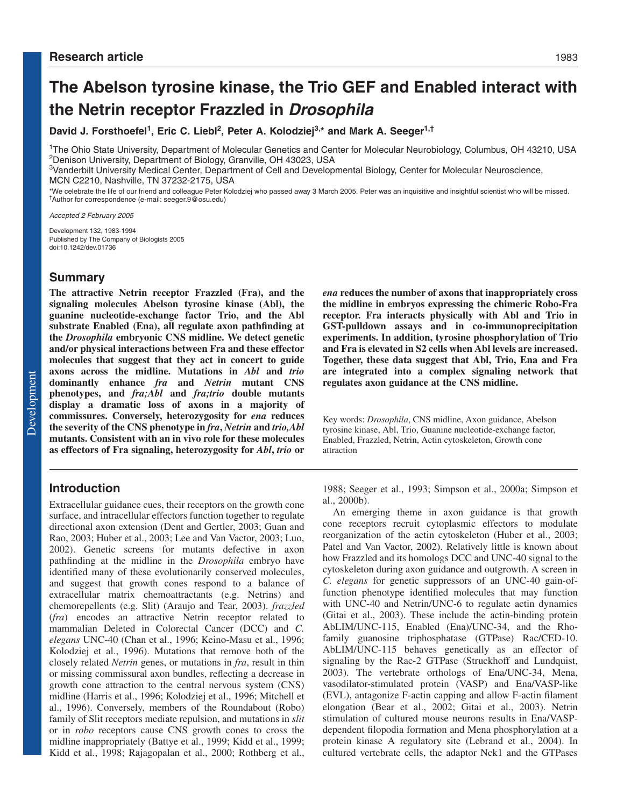# **The Abelson tyrosine kinase, the Trio GEF and Enabled interact with the Netrin receptor Frazzled in Drosophila**

David J. Forsthoefel<sup>1</sup>, Eric C. Liebl<sup>2</sup>, Peter A. Kolodziej<sup>3,\*</sup> and Mark A. Seeger<sup>1,†</sup>

1The Ohio State University, Department of Molecular Genetics and Center for Molecular Neurobiology, Columbus, OH 43210, USA 2Denison University, Department of Biology, Granville, OH 43023, USA

<sup>3</sup>Vanderbilt University Medical Center, Department of Cell and Developmental Biology, Center for Molecular Neuroscience, MCN C2210, Nashville, TN 37232-2175, USA

\*We celebrate the life of our friend and colleague Peter Kolodziej who passed away 3 March 2005. Peter was an inquisitive and insightful scientist who will be missed. †Author for correspondence (e-mail: seeger.9@osu.edu)

Accepted 2 February 2005

Development 132, 1983-1994 Published by The Company of Biologists 2005 doi:10.1242/dev.01736

# **Summary**

**The attractive Netrin receptor Frazzled (Fra), and the signaling molecules Abelson tyrosine kinase (Abl), the guanine nucleotide-exchange factor Trio, and the Abl substrate Enabled (Ena), all regulate axon pathfinding at the** *Drosophila* **embryonic CNS midline. We detect genetic and/or physical interactions between Fra and these effector molecules that suggest that they act in concert to guide axons across the midline. Mutations in** *Abl* **and** *trio* **dominantly enhance** *fra* **and** *Netrin* **mutant CNS phenotypes, and** *fra;Abl* **and** *fra;trio* **double mutants display a dramatic loss of axons in a majority of commissures. Conversely, heterozygosity for** *ena* **reduces the severity of the CNS phenotype in** *fra***,** *Netrin* **and** *trio,Abl* **mutants. Consistent with an in vivo role for these molecules as effectors of Fra signaling, heterozygosity for** *Abl***,** *trio* **or**

# **Introduction**

Extracellular guidance cues, their receptors on the growth cone surface, and intracellular effectors function together to regulate directional axon extension (Dent and Gertler, 2003; Guan and Rao, 2003; Huber et al., 2003; Lee and Van Vactor, 2003; Luo, 2002). Genetic screens for mutants defective in axon pathfinding at the midline in the *Drosophila* embryo have identified many of these evolutionarily conserved molecules, and suggest that growth cones respond to a balance of extracellular matrix chemoattractants (e.g. Netrins) and chemorepellents (e.g. Slit) (Araujo and Tear, 2003). *frazzled* (*fra*) encodes an attractive Netrin receptor related to mammalian Deleted in Colorectal Cancer (DCC) and *C. elegans* UNC-40 (Chan et al., 1996; Keino-Masu et al., 1996; Kolodziej et al., 1996). Mutations that remove both of the closely related *Netrin* genes, or mutations in *fra*, result in thin or missing commissural axon bundles, reflecting a decrease in growth cone attraction to the central nervous system (CNS) midline (Harris et al., 1996; Kolodziej et al., 1996; Mitchell et al., 1996). Conversely, members of the Roundabout (Robo) family of Slit receptors mediate repulsion, and mutations in *slit* or in *robo* receptors cause CNS growth cones to cross the midline inappropriately (Battye et al., 1999; Kidd et al., 1999; Kidd et al., 1998; Rajagopalan et al., 2000; Rothberg et al., *ena* **reduces the number of axons that inappropriately cross the midline in embryos expressing the chimeric Robo-Fra receptor. Fra interacts physically with Abl and Trio in GST-pulldown assays and in co-immunoprecipitation experiments. In addition, tyrosine phosphorylation of Trio and Fra is elevated in S2 cells when Abl levels are increased. Together, these data suggest that Abl, Trio, Ena and Fra are integrated into a complex signaling network that regulates axon guidance at the CNS midline.**

Key words: *Drosophila*, CNS midline, Axon guidance, Abelson tyrosine kinase, Abl, Trio, Guanine nucleotide-exchange factor, Enabled, Frazzled, Netrin, Actin cytoskeleton, Growth cone attraction

1988; Seeger et al., 1993; Simpson et al., 2000a; Simpson et al., 2000b).

An emerging theme in axon guidance is that growth cone receptors recruit cytoplasmic effectors to modulate reorganization of the actin cytoskeleton (Huber et al., 2003; Patel and Van Vactor, 2002). Relatively little is known about how Frazzled and its homologs DCC and UNC-40 signal to the cytoskeleton during axon guidance and outgrowth. A screen in *C. elegans* for genetic suppressors of an UNC-40 gain-offunction phenotype identified molecules that may function with UNC-40 and Netrin/UNC-6 to regulate actin dynamics (Gitai et al., 2003). These include the actin-binding protein AbLIM/UNC-115, Enabled (Ena)/UNC-34, and the Rhofamily guanosine triphosphatase (GTPase) Rac/CED-10. AbLIM/UNC-115 behaves genetically as an effector of signaling by the Rac-2 GTPase (Struckhoff and Lundquist, 2003). The vertebrate orthologs of Ena/UNC-34, Mena, vasodilator-stimulated protein (VASP) and Ena/VASP-like (EVL), antagonize F-actin capping and allow F-actin filament elongation (Bear et al., 2002; Gitai et al., 2003). Netrin stimulation of cultured mouse neurons results in Ena/VASPdependent filopodia formation and Mena phosphorylation at a protein kinase A regulatory site (Lebrand et al., 2004). In cultured vertebrate cells, the adaptor Nck1 and the GTPases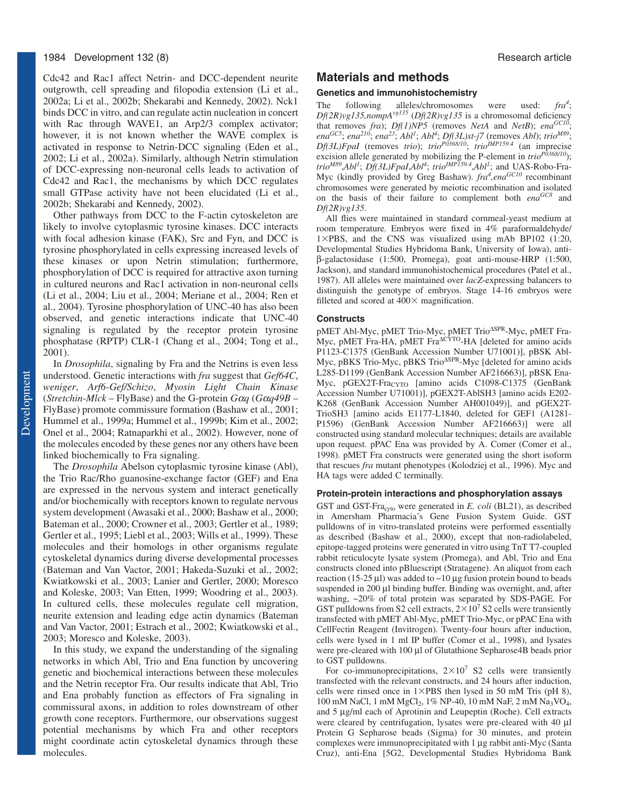Cdc42 and Rac1 affect Netrin- and DCC-dependent neurite outgrowth, cell spreading and filopodia extension (Li et al., 2002a; Li et al., 2002b; Shekarabi and Kennedy, 2002). Nck1 binds DCC in vitro, and can regulate actin nucleation in concert with Rac through WAVE1, an Arp2/3 complex activator; however, it is not known whether the WAVE complex is activated in response to Netrin-DCC signaling (Eden et al., 2002; Li et al., 2002a). Similarly, although Netrin stimulation of DCC-expressing non-neuronal cells leads to activation of Cdc42 and Rac1, the mechanisms by which DCC regulates small GTPase activity have not been elucidated (Li et al., 2002b; Shekarabi and Kennedy, 2002).

Other pathways from DCC to the F-actin cytoskeleton are likely to involve cytoplasmic tyrosine kinases. DCC interacts with focal adhesion kinase (FAK), Src and Fyn, and DCC is tyrosine phosphorylated in cells expressing increased levels of these kinases or upon Netrin stimulation; furthermore, phosphorylation of DCC is required for attractive axon turning in cultured neurons and Rac1 activation in non-neuronal cells (Li et al., 2004; Liu et al., 2004; Meriane et al., 2004; Ren et al., 2004). Tyrosine phosphorylation of UNC-40 has also been observed, and genetic interactions indicate that UNC-40 signaling is regulated by the receptor protein tyrosine phosphatase (RPTP) CLR-1 (Chang et al., 2004; Tong et al., 2001).

In *Drosophila*, signaling by Fra and the Netrins is even less understood. Genetic interactions with *fra* suggest that *Gef64C*, *weniger*, *Arf6-Gef/Schizo*, *Myosin Light Chain Kinase* (*Stretchin-Mlck* – FlyBase) and the G-protein *G*α*q* (*G*α*q49B* – FlyBase) promote commissure formation (Bashaw et al., 2001; Hummel et al., 1999a; Hummel et al., 1999b; Kim et al., 2002; Onel et al., 2004; Ratnaparkhi et al., 2002). However, none of the molecules encoded by these genes nor any others have been linked biochemically to Fra signaling.

The *Drosophila* Abelson cytoplasmic tyrosine kinase (Abl), the Trio Rac/Rho guanosine-exchange factor (GEF) and Ena are expressed in the nervous system and interact genetically and/or biochemically with receptors known to regulate nervous system development (Awasaki et al., 2000; Bashaw et al., 2000; Bateman et al., 2000; Crowner et al., 2003; Gertler et al., 1989; Gertler et al., 1995; Liebl et al., 2003; Wills et al., 1999). These molecules and their homologs in other organisms regulate cytoskeletal dynamics during diverse developmental processes (Bateman and Van Vactor, 2001; Hakeda-Suzuki et al., 2002; Kwiatkowski et al., 2003; Lanier and Gertler, 2000; Moresco and Koleske, 2003; Van Etten, 1999; Woodring et al., 2003). In cultured cells, these molecules regulate cell migration, neurite extension and leading edge actin dynamics (Bateman and Van Vactor, 2001; Estrach et al., 2002; Kwiatkowski et al., 2003; Moresco and Koleske, 2003).

In this study, we expand the understanding of the signaling networks in which Abl, Trio and Ena function by uncovering genetic and biochemical interactions between these molecules and the Netrin receptor Fra. Our results indicate that Abl, Trio and Ena probably function as effectors of Fra signaling in commissural axons, in addition to roles downstream of other growth cone receptors. Furthermore, our observations suggest potential mechanisms by which Fra and other receptors might coordinate actin cytoskeletal dynamics through these molecules.

# **Materials and methods**

#### **Genetics and immunohistochemistry**

The following alleles/chromosomes were used: *fra<sup>4</sup>* ; *Df(2R)vg135,nompAvg135* (*Df(2R)vg135* is a chromosomal deficiency that removes *fra*); *Df(1)NP5* (removes *NetA* and *NetB*); *ena*<sup>GC10</sup>; *enaGC5*; *ena<sup>210</sup>*; *ena<sup>23</sup>*; *Abl<sup>1</sup>* ; *Abl<sup>4</sup>* ; *Df(3L)st-j7* (removes *Abl*); *trioM89*; *Df(3L)FpaI* (removes *trio*); *trioP0368/10*; *trioIMP159.4* (an imprecise excision allele generated by mobilizing the P-element in *trio<sup>P0368/10</sup>*); trio<sup>M89</sup>,Abl<sup>1</sup>; Df(3L)FpaI,Abl<sup>4</sup>; trio<sup>IMP159.4</sup>,Abl<sup>1</sup>; and UAS-Robo-Fra-Myc (kindly provided by Greg Bashaw). *fra<sup>4</sup>*,ena<sup>GC10</sup> recombinant chromosomes were generated by meiotic recombination and isolated on the basis of their failure to complement both *enaGC8* and *Df(2R)vg135*.

All flies were maintained in standard cornmeal-yeast medium at room temperature. Embryos were fixed in 4% paraformaldehyde/  $1\times$ PBS, and the CNS was visualized using mAb BP102 (1:20, Developmental Studies Hybridoma Bank, University of Iowa), antiβ-galactosidase (1:500, Promega), goat anti-mouse-HRP (1:500, Jackson), and standard immunohistochemical procedures (Patel et al., 1987). All alleles were maintained over *lacZ*-expressing balancers to distinguish the genotype of embryos. Stage 14-16 embryos were filleted and scored at  $400 \times$  magnification.

#### **Constructs**

pMET Abl-Myc, pMET Trio-Myc, pMET Trio<sup>∆</sup>SPR-Myc, pMET Fra-Myc, pMET Fra-HA, pMET Fra<sup>∆CYTO</sup>-HA [deleted for amino acids P1123-C1375 (GenBank Accession Number U71001)], pBSK Abl-Myc, pBKS Trio-Myc, pBKS Trio<sup>∆SPR</sup>-Myc [deleted for amino acids L285-D1199 (GenBank Accession Number AF216663)], pBSK Ena-Myc, pGEX2T-FracyTo [amino acids C1098-C1375 (GenBank Accession Number U71001)], pGEX2T-AblSH3 [amino acids E202- K268 (GenBank Accession Number AH001049)], and pGEX2T-TrioSH3 [amino acids E1177-L1840, deleted for GEF1 (A1281- P1596) (GenBank Accession Number AF216663)] were all constructed using standard molecular techniques; details are available upon request. pPAC Ena was provided by A. Comer (Comer et al., 1998). pMET Fra constructs were generated using the short isoform that rescues *fra* mutant phenotypes (Kolodziej et al., 1996). Myc and HA tags were added C terminally.

#### **Protein-protein interactions and phosphorylation assays**

GST and GST-Fracyto were generated in *E. coli* (BL21), as described in Amersham Pharmacia's Gene Fusion System Guide. GST pulldowns of in vitro-translated proteins were performed essentially as described (Bashaw et al., 2000), except that non-radiolabeled, epitope-tagged proteins were generated in vitro using TnT T7-coupled rabbit reticulocyte lysate system (Promega), and Abl, Trio and Ena constructs cloned into pBluescript (Stratagene). An aliquot from each reaction (15-25  $\mu$ l) was added to ~10  $\mu$ g fusion protein bound to beads suspended in 200 µl binding buffer. Binding was overnight, and, after washing, ~20% of total protein was separated by SDS-PAGE. For GST pulldowns from S2 cell extracts,  $2 \times 10^7$  S2 cells were transiently transfected with pMET Abl-Myc, pMET Trio-Myc, or pPAC Ena with CellFectin Reagent (Invitrogen). Twenty-four hours after induction, cells were lysed in 1 ml IP buffer (Comer et al., 1998), and lysates were pre-cleared with 100 µl of Glutathione Sepharose4B beads prior to GST pulldowns.

For co-immunoprecipitations,  $2\times10^7$  S2 cells were transiently transfected with the relevant constructs, and 24 hours after induction, cells were rinsed once in  $1\times$ PBS then lysed in 50 mM Tris (pH 8), 100 mM NaCl, 1 mM MgCl<sub>2</sub>, 1% NP-40, 10 mM NaF, 2 mM Na<sub>3</sub>VO<sub>4</sub>, and 5 µg/ml each of Aprotinin and Leupeptin (Roche). Cell extracts were cleared by centrifugation, lysates were pre-cleared with 40 µl Protein G Sepharose beads (Sigma) for 30 minutes, and protein complexes were immunoprecipitated with 1 µg rabbit anti-Myc (Santa Cruz), anti-Ena [5G2, Developmental Studies Hybridoma Bank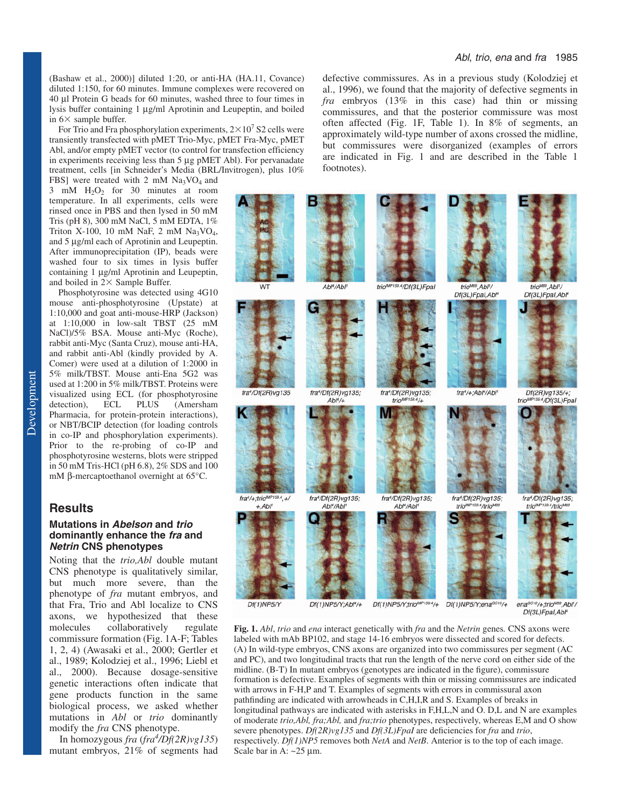(Bashaw et al., 2000)] diluted 1:20, or anti-HA (HA.11, Covance) diluted 1:150, for 60 minutes. Immune complexes were recovered on 40 µl Protein G beads for 60 minutes, washed three to four times in lysis buffer containing 1 µg/ml Aprotinin and Leupeptin, and boiled in  $6 \times$  sample buffer.

For Trio and Fra phosphorylation experiments,  $2\times10^7$  S2 cells were transiently transfected with pMET Trio-Myc, pMET Fra-Myc, pMET Abl, and/or empty pMET vector (to control for transfection efficiency in experiments receiving less than 5 µg pMET Abl). For pervanadate treatment, cells [in Schneider's Media (BRL/Invitrogen), plus 10%

FBS] were treated with 2 mM  $Na<sub>3</sub>VO<sub>4</sub>$  and 3 mM H2O2 for 30 minutes at room temperature. In all experiments, cells were rinsed once in PBS and then lysed in 50 mM Tris (pH 8), 300 mM NaCl, 5 mM EDTA, 1% Triton X-100, 10 mM NaF, 2 mM  $Na<sub>3</sub>VO<sub>4</sub>$ , and 5 µg/ml each of Aprotinin and Leupeptin. After immunoprecipitation (IP), beads were washed four to six times in lysis buffer containing 1 µg/ml Aprotinin and Leupeptin, and boiled in  $2 \times$  Sample Buffer.

Phosphotyrosine was detected using 4G10 mouse anti-phosphotyrosine (Upstate) at 1:10,000 and goat anti-mouse-HRP (Jackson) at 1:10,000 in low-salt TBST (25 mM NaCl)/5% BSA. Mouse anti-Myc (Roche), rabbit anti-Myc (Santa Cruz), mouse anti-HA, and rabbit anti-Abl (kindly provided by A. Comer) were used at a dilution of 1:2000 in 5% milk/TBST. Mouse anti-Ena 5G2 was used at 1:200 in 5% milk/TBST. Proteins were visualized using ECL (for phosphotyrosine detection), ECL PLUS (Amersham Pharmacia, for protein-protein interactions), or NBT/BCIP detection (for loading controls in co-IP and phosphorylation experiments). Prior to the re-probing of co-IP and phosphotyrosine westerns, blots were stripped in 50 mM Tris-HCl (pH 6.8), 2% SDS and 100 mM β-mercaptoethanol overnight at 65°C.

## **Results**

#### **Mutations in Abelson and trio dominantly enhance the fra and Netrin CNS phenotypes**

Noting that the *trio,Abl* double mutant CNS phenotype is qualitatively similar, but much more severe, than the phenotype of *fra* mutant embryos, and that Fra, Trio and Abl localize to CNS axons, we hypothesized that these molecules collaboratively regulate commissure formation (Fig. 1A-F; Tables 1, 2, 4) (Awasaki et al., 2000; Gertler et al., 1989; Kolodziej et al., 1996; Liebl et al., 2000). Because dosage-sensitive genetic interactions often indicate that gene products function in the same biological process, we asked whether mutations in *Abl* or *trio* dominantly modify the *fra* CNS phenotype.

In homozygous *fra* (*fra<sup>4</sup> /Df(2R)vg135*) mutant embryos, 21% of segments had

defective commissures. As in a previous study (Kolodziej et al., 1996), we found that the majority of defective segments in *fra* embryos (13% in this case) had thin or missing commissures, and that the posterior commissure was most often affected (Fig. 1F, Table 1). In 8% of segments, an approximately wild-type number of axons crossed the midline, but commissures were disorganized (examples of errors are indicated in Fig. 1 and are described in the Table 1 footnotes).



**Fig. 1.** *Abl*, *trio* and *ena* interact genetically with *fra* and the *Netrin* genes*.* CNS axons were labeled with mAb BP102, and stage 14-16 embryos were dissected and scored for defects. (A) In wild-type embryos, CNS axons are organized into two commissures per segment (AC and PC), and two longitudinal tracts that run the length of the nerve cord on either side of the midline. (B-T) In mutant embryos (genotypes are indicated in the figure), commissure formation is defective. Examples of segments with thin or missing commissures are indicated with arrows in F-H,P and T. Examples of segments with errors in commissural axon pathfinding are indicated with arrowheads in C,H,I,R and S. Examples of breaks in longitudinal pathways are indicated with asterisks in F,H,L,N and O. D,L and N are examples of moderate *trio,Abl, fra;Abl,* and *fra;trio* phenotypes, respectively, whereas E,M and O show severe phenotypes. *Df(2R)vg135* and *Df(3L)FpaI* are deficiencies for *fra* and *trio*, respectively. *Df(1)NP5* removes both *NetA* and *NetB*. Anterior is to the top of each image. Scale bar in A:  $\sim$ 25 µm.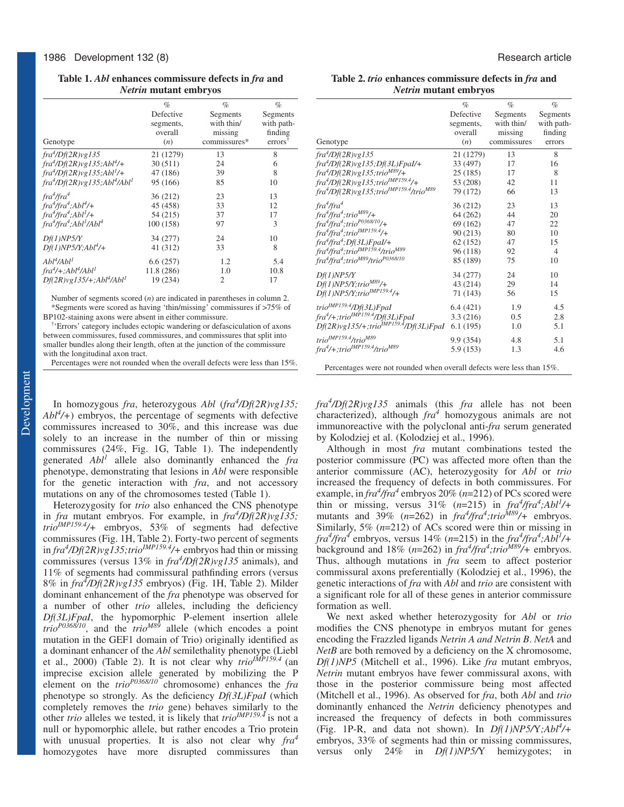#### **Table 1.** *Abl* **enhances commissure defects in** *fra* **and** *Netrin* **mutant embryos**

|                                                       | $\%$       | $\%$           | $\%$                |
|-------------------------------------------------------|------------|----------------|---------------------|
|                                                       | Defective  | Segments       | Segments            |
|                                                       | segments,  | with thin/     | with path-          |
|                                                       | overall    | missing        | finding             |
| Genotype                                              | (n)        | commissures*   | errors <sup>t</sup> |
| $fra^4/Df(2R)vg135$                                   | 21 (1279)  | 13             | 8                   |
| $fra^4/Df(2R)vg135; Abl^4/+$                          | 30(511)    | 24             | 6                   |
| $fra^4/Df(2R)vg135; Abl^1/+$                          | 47 (186)   | 39             | 8                   |
| $fra^4/Df(2R)vg135; Abl^4/Abl^1$                      | 95 (166)   | 85             | 10                  |
| fra <sup>4</sup> /fra <sup>4</sup>                    | 36 (212)   | 23             | 13                  |
| $fra^4$ /fra <sup>4</sup> ;Abl <sup>4</sup> /+        | 45 (458)   | 33             | 12                  |
| $fra^4$ /fra <sup>4</sup> ;Abl <sup>1</sup> /+        | 54 (215)   | 37             | 17                  |
| $fra^4$ /fra $^4$ ;Abl <sup>1</sup> /Abl <sup>4</sup> | 100 (158)  | 97             | 3                   |
| Df(1)NP5/Y                                            | 34 (277)   | 24             | 10                  |
| $Df(1)NP5/Y;Ab14/+$                                   | 41 (312)   | 33             | 8                   |
| Abl <sup>4</sup> /Abl <sup>1</sup>                    | 6.6(257)   | 1.2            | 5.4                 |
| $fra^4/+, Abl^4/Abl^1$                                | 11.8 (286) | 1.0            | 10.8                |
| $Df(2R)vgl35/+; Abl4/Abl1$                            | 19 (234)   | $\overline{2}$ | 17                  |

Number of segments scored (*n*) are indicated in parentheses in column 2. \*Segments were scored as having 'thin/missing' commissures if >75% of BP102-staining axons were absent in either commissure.

† 'Errors' category includes ectopic wandering or defasciculation of axons between commissures, fused commissures, and commissures that split into smaller bundles along their length, often at the junction of the commissure with the longitudinal axon tract.

Percentages were not rounded when the overall defects were less than 15%.

In homozygous *fra*, heterozygous *Abl* (*fra4 /Df(2R)vg135; Abl4 /+*) embryos, the percentage of segments with defective commissures increased to 30%, and this increase was due solely to an increase in the number of thin or missing commissures (24%, Fig. 1G, Table 1). The independently generated *Abl1* allele also dominantly enhanced the *fra* phenotype, demonstrating that lesions in *Abl* were responsible for the genetic interaction with *fra*, and not accessory mutations on any of the chromosomes tested (Table 1).

Heterozygosity for *trio* also enhanced the CNS phenotype in *fra* mutant embryos. For example, in *fra4 /Df(2R)vg135; trioIMP159.4/+* embryos, 53% of segments had defective commissures (Fig. 1H, Table 2). Forty-two percent of segments in *fra<sup>4</sup> /Df(2R)vg135;trioIMP159.4/+* embryos had thin or missing commissures (versus 13% in *fra<sup>4</sup> /Df(2R)vg135* animals), and 11% of segments had commissural pathfinding errors (versus 8% in *fra<sup>4</sup> /Df(2R)vg135* embryos) (Fig. 1H, Table 2). Milder dominant enhancement of the *fra* phenotype was observed for a number of other *trio* alleles, including the deficiency *Df(3L)FpaI*, the hypomorphic P-element insertion allele  $trio^{P0368710}$ , and the *trio<sup>M89</sup>* allele (which encodes a point mutation in the GEF1 domain of Trio) originally identified as a dominant enhancer of the *Abl* semilethality phenotype (Liebl et al., 2000) (Table 2). It is not clear why *trioIMP159.4* (an imprecise excision allele generated by mobilizing the P element on the *trioP0368/10* chromosome) enhances the *fra* phenotype so strongly. As the deficiency *Df(3L)FpaI* (which completely removes the *trio* gene) behaves similarly to the other *trio* alleles we tested, it is likely that *trioIMP159.4* is not a null or hypomorphic allele, but rather encodes a Trio protein with unusual properties. It is also not clear why *fra<sup>4</sup>* homozygotes have more disrupted commissures than

**Table 2.** *trio* **enhances commissure defects in** *fra* **and** *Netrin* **mutant embryos**

|                                                                                   | $\%$      | $\%$        | $\%$           |
|-----------------------------------------------------------------------------------|-----------|-------------|----------------|
|                                                                                   | Defective | Segments    | Segments       |
|                                                                                   | segments, | with thin/  | with path-     |
|                                                                                   | overall   | missing     | finding        |
| Genotype                                                                          | (n)       | commissures | errors         |
| fra <sup>4</sup> /Df(2R)vg135                                                     | 21 (1279) | 13          | 8              |
| fra <sup>4</sup> /Df(2R)vg135;Df(3L)FpaI/+                                        | 33 (497)  | 17          | 16             |
| $\frac{4}{D}$ f(2R)vg135;trio <sup>M89</sup> /+                                   | 25(185)   | 17          | 8              |
| $\frac{4}{Df(2R)vgl35;tri\omega^{MP159.4}}$ +                                     | 53 (208)  | 42          | 11             |
| fra <sup>4</sup> /Df(2R)vg135;trio <sup>IMP159.4</sup> /trio <sup>M89</sup>       | 79 (172)  | 66          | 13             |
| fra <sup>4</sup> /fra <sup>4</sup>                                                | 36 (212)  | 23          | 13             |
| fra <sup>4</sup> /fra <sup>4</sup> ;trio <sup>M89</sup> /+                        | 64 (262)  | 44          | 20             |
| fra <sup>4</sup> /fra <sup>4</sup> ;trio <sup>P0368/10</sup> /+                   | 69 (162)  | 47          | 22             |
| fra <sup>4</sup> /fra <sup>4</sup> ;trio <sup>IMP159.4</sup> /+                   | 90(213)   | 80          | 10             |
| fra <sup>4</sup> /fra <sup>4</sup> ;Df(3L)FpaI/+                                  | 62(152)   | 47          | 15             |
| fra <sup>4</sup> /fra <sup>4</sup> ;trio <sup>IMP159.4</sup> /trio <sup>M89</sup> | 96 (118)  | 92          | $\overline{4}$ |
| fra <sup>4</sup> /fra <sup>4</sup> ;trio <sup>M89</sup> /trio <sup>P0368/10</sup> | 85 (189)  | 75          | 10             |
| Df(1)NP5/Y                                                                        | 34 (277)  | 24          | 10             |
| $Df(1)NP5/Y;trioM89/+$                                                            | 43 (214)  | 29          | 14             |
| $Df(1)NP5/Y;trio^{IMPI59.4}/+$                                                    | 71 (143)  | 56          | 15             |
| trio <sup>IMP159.4</sup> /Df(3L)FpaI                                              | 6.4(421)  | 1.9         | 4.5            |
| fra <sup>4</sup> /+;trio <sup>IMP159.4</sup> /Df(3L)FpaI                          | 3.3(216)  | 0.5         | 2.8            |
| Df(2R)vg135/+;trio <sup>IMP159.4</sup> /Df(3L)FpaI                                | 6.1(195)  | 1.0         | 5.1            |
| trio <sup>IMP159.4</sup> /trio <sup>M89</sup>                                     | 9.9 (354) | 4.8         | 5.1            |
| fra <sup>4</sup> /+;trio <sup>IMP159.4</sup> /trio <sup>M89</sup>                 | 5.9(153)  | 1.3         | 4.6            |
| Percentages were not rounded when overall defects were less than 15%.             |           |             |                |

*fra<sup>4</sup> /Df(2R)vg135* animals (this *fra* allele has not been characterized), although *fra4* homozygous animals are not immunoreactive with the polyclonal anti-*fra* serum generated by Kolodziej et al. (Kolodziej et al., 1996).

Although in most *fra* mutant combinations tested the posterior commissure (PC) was affected more often than the anterior commissure (AC), heterozygosity for *Abl* or *trio* increased the frequency of defects in both commissures. For example, in  $\int \frac{4}{\pi} a^4$  embryos 20% (*n*=212) of PCs scored were thin or missing, versus  $31\%$  (*n*=215) in  $\int \frac{r^4}{\sqrt{r^4}}$ ;Abl<sup>1</sup>/+ mutants and 39% ( $n=262$ ) in  $fra^4$ / $fra^4$ ;trio<sup>M89</sup>/+ embryos. Similarly, 5% (*n*=212) of ACs scored were thin or missing in *fra<sup>4</sup>*/*fra<sup>4</sup>* embryos, versus 14% (*n*=215) in the *fra<sup>4</sup>*/*fra<sup>4</sup>*;*Abl<sup>1</sup>*/+ background and 18%  $(n=262)$  in  $fra^4$ / $fra^4$ ;trio<sup>M89</sup>/+ embryos. Thus, although mutations in *fra* seem to affect posterior commissural axons preferentially (Kolodziej et al., 1996), the genetic interactions of *fra* with *Abl* and *trio* are consistent with a significant role for all of these genes in anterior commissure formation as well.

We next asked whether heterozygosity for *Abl* or *trio* modifies the CNS phenotype in embryos mutant for genes encoding the Frazzled ligands *Netrin A and Netrin B*. *NetA* and *NetB* are both removed by a deficiency on the X chromosome, *Df(1)NP5* (Mitchell et al., 1996). Like *fra* mutant embryos, *Netrin* mutant embryos have fewer commissural axons, with those in the posterior commissure being most affected (Mitchell et al., 1996). As observed for *fra*, both *Abl* and *trio* dominantly enhanced the *Netrin* deficiency phenotypes and increased the frequency of defects in both commissures (Fig. 1P-R, and data not shown). In  $Df(1)NP5/Y; Abl<sup>4</sup>/+$ embryos, 33% of segments had thin or missing commissures, versus only 24% in *Df(1)NP5/*Y hemizygotes; in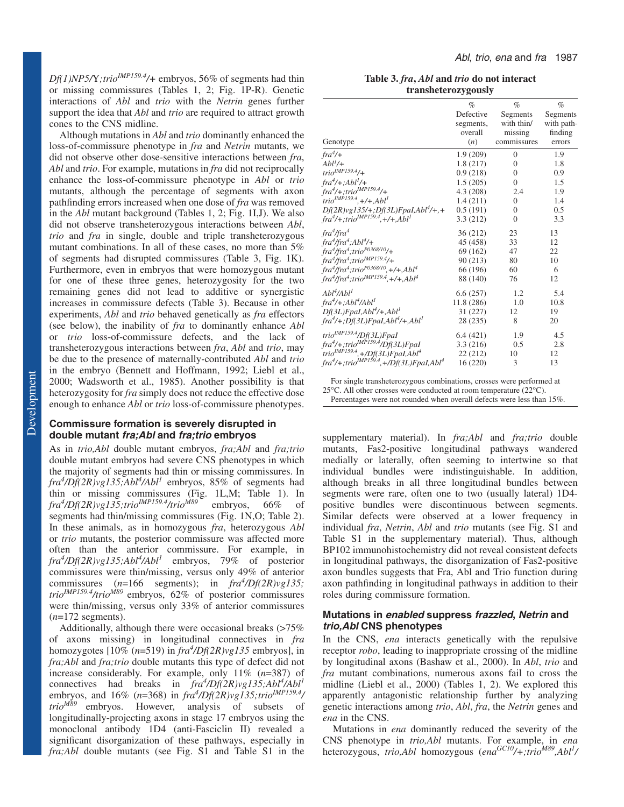*Df(1)NP5/*Y*;trioIMP159.4/+* embryos, 56% of segments had thin or missing commissures (Tables 1, 2; Fig. 1P-R). Genetic interactions of *Abl* and *trio* with the *Netrin* genes further support the idea that *Abl* and *trio* are required to attract growth cones to the CNS midline.

Although mutations in *Abl* and *trio* dominantly enhanced the loss-of-commissure phenotype in *fra* and *Netrin* mutants, we did not observe other dose-sensitive interactions between *fra*, *Abl* and *trio*. For example, mutations in *fra* did not reciprocally enhance the loss-of-commissure phenotype in *Abl* or *trio* mutants, although the percentage of segments with axon pathfinding errors increased when one dose of *fra* was removed in the *Abl* mutant background (Tables 1, 2; Fig. 1I,J). We also did not observe transheterozygous interactions between *Abl*, *trio* and *fra* in single, double and triple transheterozygous mutant combinations. In all of these cases, no more than 5% of segments had disrupted commissures (Table 3, Fig. 1K). Furthermore, even in embryos that were homozygous mutant for one of these three genes, heterozygosity for the two remaining genes did not lead to additive or synergistic increases in commissure defects (Table 3). Because in other experiments, *Abl* and *trio* behaved genetically as *fra* effectors (see below), the inability of *fra* to dominantly enhance *Abl* or *trio* loss-of-commissure defects, and the lack of transheterozygous interactions between *fra*, *Abl* and *trio*, may be due to the presence of maternally-contributed *Abl* and *trio* in the embryo (Bennett and Hoffmann, 1992; Liebl et al., 2000; Wadsworth et al., 1985). Another possibility is that heterozygosity for *fra* simply does not reduce the effective dose enough to enhance *Abl* or *trio* loss-of-commissure phenotypes.

#### **Commissure formation is severely disrupted in double mutant fra;Abl and fra;trio embryos**

As in *trio,Abl* double mutant embryos, *fra;Abl* and *fra;trio* double mutant embryos had severe CNS phenotypes in which the majority of segments had thin or missing commissures. In *fra<sup>4</sup> /Df(2R)vg135;Abl4 /Abl1* embryos, 85% of segments had thin or missing commissures (Fig. 1L,M; Table 1). In *fra<sup>4</sup> /Df(2R)vg135;trioIMP159.4/trioM89* embryos, 66% of segments had thin/missing commissures (Fig. 1N,O; Table 2). In these animals, as in homozygous *fra*, heterozygous *Abl* or *trio* mutants, the posterior commissure was affected more often than the anterior commissure. For example, in *fra4 /Df(2R)vg135;Abl4 /Abl1* embryos, 79% of posterior commissures were thin/missing, versus only 49% of anterior commissures (*n*=166 segments); in *fra<sup>4</sup> /Df(2R)vg135; trioIMP159.4/trioM89* embryos, 62% of posterior commissures were thin/missing, versus only 33% of anterior commissures (*n*=172 segments).

Additionally, although there were occasional breaks (>75%) of axons missing) in longitudinal connectives in *fra* homozygotes [10% (*n*=519) in *fra4 /Df(2R)vg135* embryos], in *fra;Abl* and *fra;trio* double mutants this type of defect did not increase considerably. For example, only 11% (*n*=387) of connectives had breaks in  $\int$ *fra*<sup>4</sup>/*Df*(2*R)vg135;Abl<sup>4</sup>/Abl<sup>1</sup>* embryos, and 16% (*n*=368) in  $fra^{4}/Df(2R)vg135;trio^{IMPI59.4}/P(2R)vg135;trio^{IMPI59.4}/P(2R)vg135;trio^{IMPI59.4}/P(2R)vg135;trio^{IMPI59.4}/P(2R)vg135;trio^{IMPI59.4}/P(2R)vg135;trio^{IMPI59.4}/P(2R)vg135;trio^{IMPI59.4}/P(2R)vg135;trio^{IMPI59.4}/P(2R)vg135;trio^{IMPI59.4}/P(2R)$ *trioM89* embryos. However, analysis of subsets of longitudinally-projecting axons in stage 17 embryos using the monoclonal antibody 1D4 (anti-Fasciclin II) revealed a significant disorganization of these pathways, especially in *fra;Abl* double mutants (see Fig. S1 and Table S1 in the

**Table 3.** *fra***,** *Abl* **and** *trio* **do not interact transheterozygously**

|                                                                                                  | $\%$       | $\%$           | $\%$       |
|--------------------------------------------------------------------------------------------------|------------|----------------|------------|
|                                                                                                  | Defective  | Segments       | Segments   |
|                                                                                                  | segments,  | with thin/     | with path- |
|                                                                                                  | overall    | missing        | finding    |
| Genotype                                                                                         | (n)        | commissures    | errors     |
| $fra4/+$                                                                                         | 1.9(209)   | $\overline{0}$ | 1.9        |
| $Abl^1/+$                                                                                        | 1.8(217)   | $\overline{0}$ | 1.8        |
| $trio^{IMPI59.4}/+$                                                                              | 0.9(218)   | $\mathbf{0}$   | 0.9        |
| $fra^4/+; Abl^1/+$                                                                               | 1.5(205)   | $\overline{0}$ | 1.5        |
| $fra^{4}/+$ ; trio <sup>IMP159.4</sup> /+                                                        | 4.3(208)   | 2.4            | 1.9        |
| $intio^{IMPI59.4}, +/+, Abl1$                                                                    | 1.4(211)   | $\Omega$       | 1.4        |
| $Df(2R)vg135/+; Df(3L)Fpal, Abl4/+, +$                                                           | 0.5(191)   | $\mathbf{0}$   | 0.5        |
| $fra^{4}/+$ ; trio <sup>IMP159.4</sup> , +/+, Abl <sup>1</sup>                                   | 3.3(212)   | $\Omega$       | 3.3        |
| fra <sup>4</sup> /fra <sup>4</sup>                                                               | 36 (212)   | 23             | 13         |
| $\int$ ra <sup>4</sup> /fra <sup>4</sup> ;Abl <sup>4</sup> /+                                    | 45 (458)   | 33             | 12         |
| fra <sup>4</sup> /fra <sup>4</sup> ;trio <sup>P0368/10</sup> /+                                  | 69 (162)   | 47             | 22         |
| $\int r a^4/fr a^4$ ;trio <sup>IMP159.4</sup> /+                                                 | 90(213)    | 80             | 10         |
| $\int r a^4/fr a^4; trio^{P0368/10}, +/+, Abl^4$                                                 | 66 (196)   | 60             | 6          |
| $\int$ fra <sup>4</sup> /fra <sup>4</sup> ;trio <sup>IMP159.4</sup> ,+/+,Abl <sup>4</sup>        | 88 (140)   | 76             | 12         |
| $Abl^4$ /Abl <sup>1</sup>                                                                        | 6.6(257)   | 1.2            | 5.4        |
| fra <sup>4</sup> /+;Abl <sup>4</sup> /Abl <sup>1</sup>                                           | 11.8 (286) | 1.0            | 10.8       |
| $Df(3L)Fpal, Abl4/+, Abl1$                                                                       | 31(227)    | 12             | 19         |
| $\frac{f}{a^4}$ +;Df(3L)FpaI,Abl <sup>4</sup> /+,Abl <sup>1</sup>                                | 28 (235)   | 8              | 20         |
| trio <sup>IMP159.4</sup> /Df(3L)FpaI<br>fra <sup>4</sup> /+;trio <sup>IMP159.4</sup> /Df(3L)FpaI | 6.4(421)   | 1.9            | 4.5        |
|                                                                                                  | 3.3(216)   | 0.5            | 2.8        |
| trio <sup>IMP159.4</sup> ,+/Df(3L)FpaI,Abl <sup>4</sup>                                          | 22(212)    | 10             | 12         |
| $\frac{fra^4}{+}$ ; trio <sup>IMP159.4</sup> , $+\frac{fof(3L)}{FpaI}$ , Abl <sup>4</sup>        | 16(220)    | 3              | 13         |
|                                                                                                  |            |                |            |

For single transheterozygous combinations, crosses were performed at 25°C. All other crosses were conducted at room temperature (22°C).

Percentages were not rounded when overall defects were less than 15%.

supplementary material). In *fra;Abl* and *fra;trio* double mutants, Fas2-positive longitudinal pathways wandered medially or laterally, often seeming to intertwine so that individual bundles were indistinguishable. In addition, although breaks in all three longitudinal bundles between segments were rare, often one to two (usually lateral) 1D4 positive bundles were discontinuous between segments. Similar defects were observed at a lower frequency in individual *fra*, *Netrin*, *Abl* and *trio* mutants (see Fig. S1 and Table S1 in the supplementary material). Thus, although BP102 immunohistochemistry did not reveal consistent defects in longitudinal pathways, the disorganization of Fas2-positive axon bundles suggests that Fra, Abl and Trio function during axon pathfinding in longitudinal pathways in addition to their roles during commissure formation.

## **Mutations in enabled suppress frazzled, Netrin and trio,Abl CNS phenotypes**

In the CNS, *ena* interacts genetically with the repulsive receptor *robo*, leading to inappropriate crossing of the midline by longitudinal axons (Bashaw et al., 2000). In *Abl*, *trio* and *fra* mutant combinations, numerous axons fail to cross the midline (Liebl et al., 2000) (Tables 1, 2). We explored this apparently antagonistic relationship further by analyzing genetic interactions among *trio*, *Abl*, *fra*, the *Netrin* genes and *ena* in the CNS.

Mutations in *ena* dominantly reduced the severity of the CNS phenotype in *trio,Abl* mutants. For example, in *ena* heterozygous, *trio,Abl* homozygous (ena<sup>GC10</sup>/+;trio<sup>M89</sup>,Abl<sup>1</sup>/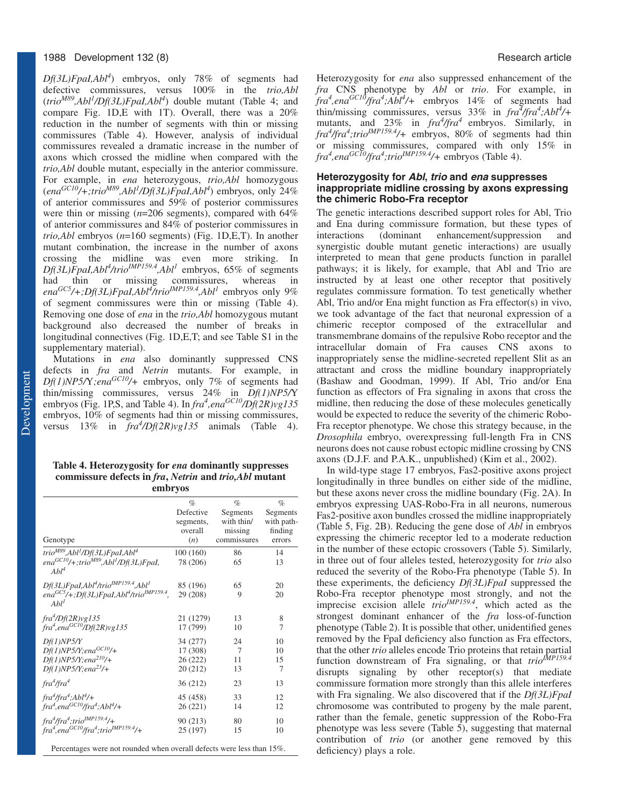## 1988 Development 132 (8) Research article

*Df(3L)FpaI,Abl4* ) embryos, only 78% of segments had defective commissures, versus 100% in the *trio,Abl* (*trioM89,Abl1 /Df(3L)FpaI,Abl4* ) double mutant (Table 4; and compare Fig. 1D,E with 1T). Overall, there was a 20% reduction in the number of segments with thin or missing commissures (Table 4). However, analysis of individual commissures revealed a dramatic increase in the number of axons which crossed the midline when compared with the *trio,Abl* double mutant, especially in the anterior commissure. For example, in *ena* heterozygous, *trio,Abl* homozygous (*enaGC10/+;trioM89,Abl1 /Df(3L)FpaI,Abl4* ) embryos, only 24% of anterior commissures and 59% of posterior commissures were thin or missing (*n*=206 segments), compared with 64% of anterior commissures and 84% of posterior commissures in *trio,Abl* embryos (*n*=160 segments) (Fig. 1D,E,T). In another mutant combination, the increase in the number of axons crossing the midline was even more striking. In *Df(3L)FpaI,Abl<sup>4</sup> /trioIMP159.4,Abl1* embryos, 65% of segments had thin or missing commissures, whereas in ena<sup>GC5</sup>/+;Df(3L)FpaI,Abl<sup>4</sup>/trio<sup>IMP159.4</sup>,Abl<sup>1</sup> embryos only 9% of segment commissures were thin or missing (Table 4). Removing one dose of *ena* in the *trio,Abl* homozygous mutant background also decreased the number of breaks in longitudinal connectives (Fig. 1D,E,T; and see Table S1 in the supplementary material).

Mutations in *ena* also dominantly suppressed CNS defects in *fra* and *Netrin* mutants. For example, in *Df(1)NP5/*Y*;enaGC10/+* embryos, only 7% of segments had thin/missing commissures, versus 24% in *Df(1)NP5/*Y embryos (Fig. 1P,S, and Table 4). In  $fra<sup>4</sup>, ena<sup>GC10</sup>/Df(2R)vg135$ embryos, 10% of segments had thin or missing commissures, versus 13% in  $fra^4/Df(2R)vg135$  animals (Table 4).

**Table 4. Heterozygosity for** *ena* **dominantly suppresses commissure defects in** *fra***,** *Netrin* **and** *trio,Abl* **mutant embryos**

|                                                                                                   | $\%$      | $\%$        | $\%$       |
|---------------------------------------------------------------------------------------------------|-----------|-------------|------------|
|                                                                                                   | Defective | Segments    | Segments   |
|                                                                                                   | segments, | with thin/  | with path- |
|                                                                                                   | overall   | missing     | finding    |
| Genotype                                                                                          | (n)       | commissures | errors     |
| trio <sup>M89</sup> ,Abl <sup>1</sup> /Df(3L)FpaI,Abl <sup>4</sup>                                | 100(160)  | 86          | 14         |
| $ena^{GClO}/+$ ;trio <sup>M89</sup> ,Abl <sup>1</sup> /Df(3L)FpaI,<br>Abl <sup>4</sup>            | 78 (206)  | 65          | 13         |
| $Df(3L)Fpal, Abl4/triolMP159.4, Abl1$                                                             | 85 (196)  | 65          | 20         |
| ena <sup>GC5</sup> /+;Df(3L)FpaI,Abl <sup>4</sup> /trio <sup>IMP159.4</sup> ,<br>Abl <sup>1</sup> | 29 (208)  | 9           | 20         |
| $fra^4/Df(2R)vg135$                                                                               | 21 (1279) | 13          | 8          |
| $fra4, enaGC10/Df(2R)vg135$                                                                       | 17 (799)  | 10          | 7          |
| Df(1)NP5/Y                                                                                        | 34 (277)  | 24          | 10         |
| $Df(1)NP5/Y$ ; ena <sup>GC10</sup> /+                                                             | 17 (308)  | 7           | 10         |
| $Df(1)NP5/Y$ ; ena <sup>210</sup> /+                                                              | 26(222)   | 11          | 15         |
| $Df(1)NP5/Y$ ; ena <sup>23</sup> /+                                                               | 20(212)   | 13          | 7          |
| fra <sup>4</sup> /fra <sup>4</sup>                                                                | 36 (212)  | 23          | 13         |
| $fra^4$ /fra <sup>4</sup> ;Abl <sup>4</sup> /+                                                    | 45 (458)  | 33          | 12         |
| $fra4, enaGC10/fra4; Abl4/+$                                                                      | 26 (221)  | 14          | 12         |
| $fra^4$ /fra $^4$ ; trio <sup>IMP159.4</sup> /+                                                   | 90 (213)  | 80          | 10         |
| $fra^4, ena^{GCl}$ fra <sup>4</sup> ;trio <sup>IMP159.4</sup> /+                                  | 25 (197)  | 15          | 10         |
|                                                                                                   |           |             |            |

Percentages were not rounded when overall defects were less than 15%.

Heterozygosity for *ena* also suppressed enhancement of the *fra* CNS phenotype by *Abl* or *trio*. For example, in *fra<sup>4</sup> ,enaGC10/fra4 ;Abl4 /+* embryos 14% of segments had thin/missing commissures, versus 33% in  $fra^2/fra^4$ ;Abl<sup>4</sup>/+ mutants, and 23% in  $fra^4$ /*fra*<sup>4</sup> embryos. Similarly, in *fra<sup>4</sup> /fra<sup>4</sup> ;trioIMP159.4/+* embryos, 80% of segments had thin or missing commissures, compared with only 15% in *fra<sup>4</sup> ,enaGC10/fra4 ;trioIMP159.4/+* embryos (Table 4).

## **Heterozygosity for Abl, trio and ena suppresses inappropriate midline crossing by axons expressing the chimeric Robo-Fra receptor**

The genetic interactions described support roles for Abl, Trio and Ena during commissure formation, but these types of interactions (dominant enhancement/suppression and interactions (dominant enhancement/suppression and synergistic double mutant genetic interactions) are usually interpreted to mean that gene products function in parallel pathways; it is likely, for example, that Abl and Trio are instructed by at least one other receptor that positively regulates commissure formation. To test genetically whether Abl, Trio and/or Ena might function as Fra effector(s) in vivo, we took advantage of the fact that neuronal expression of a chimeric receptor composed of the extracellular and transmembrane domains of the repulsive Robo receptor and the intracellular domain of Fra causes CNS axons to inappropriately sense the midline-secreted repellent Slit as an attractant and cross the midline boundary inappropriately (Bashaw and Goodman, 1999). If Abl, Trio and/or Ena function as effectors of Fra signaling in axons that cross the midline, then reducing the dose of these molecules genetically would be expected to reduce the severity of the chimeric Robo-Fra receptor phenotype. We chose this strategy because, in the *Drosophila* embryo, overexpressing full-length Fra in CNS neurons does not cause robust ectopic midline crossing by CNS axons (D.J.F. and P.A.K., unpublished) (Kim et al., 2002).

In wild-type stage 17 embryos, Fas2-positive axons project longitudinally in three bundles on either side of the midline, but these axons never cross the midline boundary (Fig. 2A). In embryos expressing UAS-Robo-Fra in all neurons, numerous Fas2-positive axon bundles crossed the midline inappropriately (Table 5, Fig. 2B). Reducing the gene dose of *Abl* in embryos expressing the chimeric receptor led to a moderate reduction in the number of these ectopic crossovers (Table 5). Similarly, in three out of four alleles tested, heterozygosity for *trio* also reduced the severity of the Robo-Fra phenotype (Table 5). In these experiments, the deficiency *Df(3L)FpaI* suppressed the Robo-Fra receptor phenotype most strongly, and not the imprecise excision allele  $trio^{MP159.4}$ , which acted as the strongest dominant enhancer of the *fra* loss-of-function phenotype (Table 2). It is possible that other, unidentified genes removed by the FpaI deficiency also function as Fra effectors, that the other *trio* alleles encode Trio proteins that retain partial function downstream of Fra signaling, or that *trioIMP159.4* disrupts signaling by other receptor(s) that mediate commissure formation more strongly than this allele interferes with Fra signaling. We also discovered that if the *Df(3L)FpaI* chromosome was contributed to progeny by the male parent, rather than the female, genetic suppression of the Robo-Fra phenotype was less severe (Table 5), suggesting that maternal contribution of *trio* (or another gene removed by this deficiency) plays a role.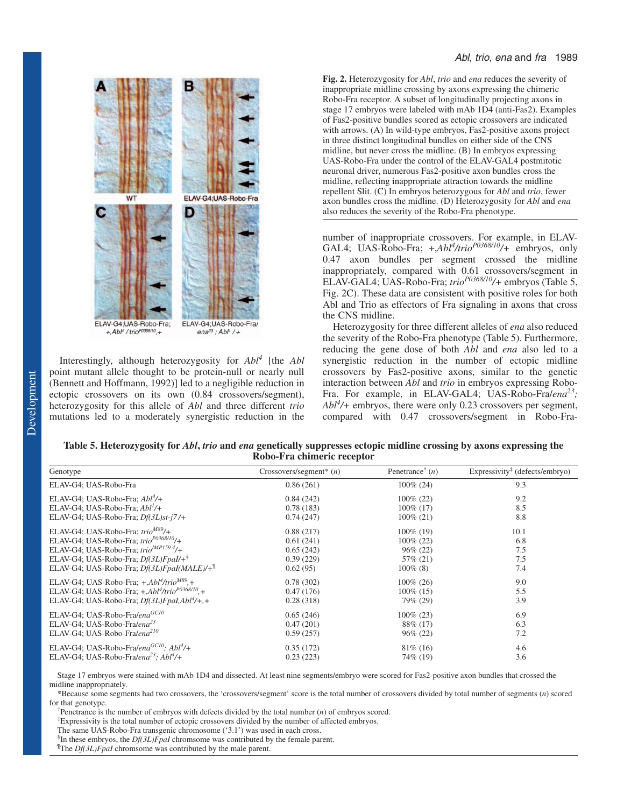

Interestingly, although heterozygosity for *Abl4* [the *Abl* point mutant allele thought to be protein-null or nearly null (Bennett and Hoffmann, 1992)] led to a negligible reduction in ectopic crossovers on its own (0.84 crossovers/segment), heterozygosity for this allele of *Abl* and three different *trio* mutations led to a moderately synergistic reduction in the

**Fig. 2.** Heterozygosity for *Abl*, *trio* and *ena* reduces the severity of inappropriate midline crossing by axons expressing the chimeric Robo-Fra receptor. A subset of longitudinally projecting axons in stage 17 embryos were labeled with mAb 1D4 (anti-Fas2). Examples of Fas2-positive bundles scored as ectopic crossovers are indicated with arrows. (A) In wild-type embryos, Fas2-positive axons project in three distinct longitudinal bundles on either side of the CNS midline, but never cross the midline. (B) In embryos expressing UAS-Robo-Fra under the control of the ELAV-GAL4 postmitotic neuronal driver, numerous Fas2-positive axon bundles cross the midline, reflecting inappropriate attraction towards the midline repellent Slit. (C) In embryos heterozygous for *Abl* and *trio*, fewer axon bundles cross the midline. (D) Heterozygosity for *Abl* and *ena* also reduces the severity of the Robo-Fra phenotype.

number of inappropriate crossovers. For example, in ELAV-GAL4; UAS-Robo-Fra; +,*Abl4 /trioP0368/10/+* embryos, only 0.47 axon bundles per segment crossed the midline inappropriately, compared with 0.61 crossovers/segment in ELAV-GAL4; UAS-Robo-Fra; *trioP0368/10/+* embryos (Table 5, Fig. 2C). These data are consistent with positive roles for both Abl and Trio as effectors of Fra signaling in axons that cross the CNS midline.

Heterozygosity for three different alleles of *ena* also reduced the severity of the Robo-Fra phenotype (Table 5). Furthermore, reducing the gene dose of both *Abl* and *ena* also led to a synergistic reduction in the number of ectopic midline crossovers by Fas2-positive axons, similar to the genetic interaction between *Abl* and *trio* in embryos expressing Robo-Fra. For example, in ELAV-GAL4; UAS-Robo-Fra/*ena23; Abl4 /+* embryos, there were only 0.23 crossovers per segment, compared with 0.47 crossovers/segment in Robo-Fra-

| Table 5. Heterozygosity for <i>Abl, trio</i> and <i>ena</i> genetically suppresses ectopic midline crossing by axons expressing the |
|-------------------------------------------------------------------------------------------------------------------------------------|
| Robo-Fra chimeric receptor                                                                                                          |

| $Crossovers/segment^*(n)$ | Penetrance <sup>†</sup> $(n)$ | Expressivity <sup>‡</sup> (defects/embryo) |
|---------------------------|-------------------------------|--------------------------------------------|
| 0.86(261)                 | $100\% (24)$                  | 9.3                                        |
| 0.84(242)                 | $100\%$ (22)                  | 9.2                                        |
| 0.78(183)                 | $100\%$ (17)                  | 8.5                                        |
| 0.74(247)                 | $100\% (21)$                  | 8.8                                        |
| 0.88(217)                 | $100\%$ (19)                  | 10.1                                       |
| 0.61(241)                 | $100\%$ (22)                  | 6.8                                        |
| 0.65(242)                 | $96\% (22)$                   | 7.5                                        |
| 0.39(229)                 | 57\% (21)                     | 7.5                                        |
| 0.62(95)                  | $100\%$ (8)                   | 7.4                                        |
| 0.78(302)                 | $100\%$ (26)                  | 9.0                                        |
| 0.47(176)                 | $100\%$ (15)                  | 5.5                                        |
| 0.28(318)                 | 79% (29)                      | 3.9                                        |
| 0.65(246)                 | $100\%$ (23)                  | 6.9                                        |
| 0.47(201)                 | 88\% (17)                     | 6.3                                        |
| 0.59(257)                 | $96\% (22)$                   | 7.2                                        |
| 0.35(172)                 | $81\%$ (16)                   | 4.6                                        |
| 0.23(223)                 | 74\% (19)                     | 3.6                                        |
|                           |                               |                                            |

Stage 17 embryos were stained with mAb 1D4 and dissected. At least nine segments/embryo were scored for Fas2-positive axon bundles that crossed the midline inappropriately.

\*Because some segments had two crossovers, the 'crossovers/segment' score is the total number of crossovers divided by total number of segments (*n*) scored for that genotype.

† Penetrance is the number of embryos with defects divided by the total number (*n*) of embryos scored.

‡ Expressivity is the total number of ectopic crossovers divided by the number of affected embryos.

The same UAS-Robo-Fra transgenic chromosome ('3.1') was used in each cross.

§ In these embryos, the *Df(3L)FpaI* chromsome was contributed by the female parent.

The *Df(3L)FpaI* chromsome was contributed by the male parent.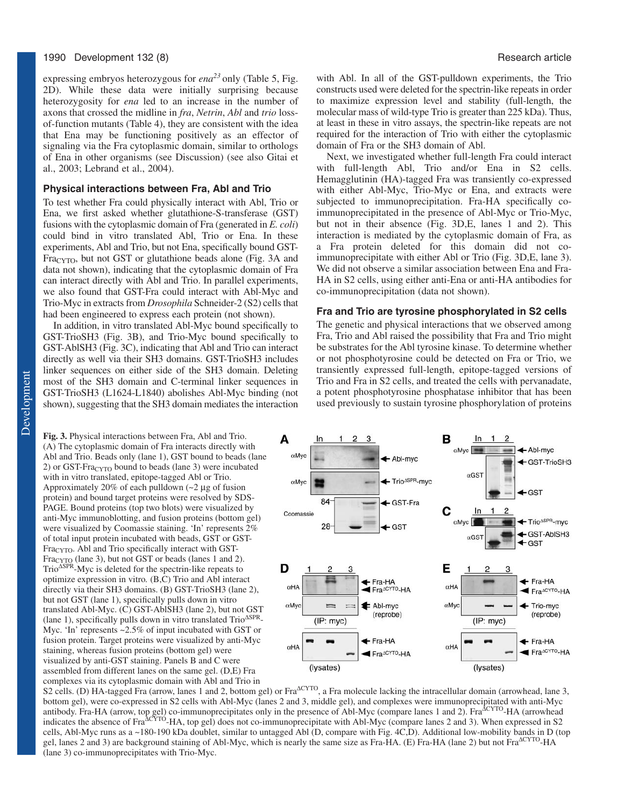expressing embryos heterozygous for *ena23* only (Table 5, Fig. 2D). While these data were initially surprising because heterozygosity for *ena* led to an increase in the number of axons that crossed the midline in *fra*, *Netrin*, *Abl* and *trio* lossof-function mutants (Table 4), they are consistent with the idea that Ena may be functioning positively as an effector of signaling via the Fra cytoplasmic domain, similar to orthologs of Ena in other organisms (see Discussion) (see also Gitai et al., 2003; Lebrand et al., 2004).

#### **Physical interactions between Fra, Abl and Trio**

To test whether Fra could physically interact with Abl, Trio or Ena, we first asked whether glutathione-S-transferase (GST) fusions with the cytoplasmic domain of Fra (generated in *E. coli*) could bind in vitro translated Abl, Trio or Ena. In these experiments, Abl and Trio, but not Ena, specifically bound GST-Fra<sub>CYTO</sub>, but not GST or glutathione beads alone (Fig. 3A and data not shown), indicating that the cytoplasmic domain of Fra can interact directly with Abl and Trio. In parallel experiments, we also found that GST-Fra could interact with Abl-Myc and Trio-Myc in extracts from *Drosophila* Schneider-2 (S2) cells that had been engineered to express each protein (not shown).

In addition, in vitro translated Abl-Myc bound specifically to GST-TrioSH3 (Fig. 3B), and Trio-Myc bound specifically to GST-AblSH3 (Fig. 3C), indicating that Abl and Trio can interact directly as well via their SH3 domains. GST-TrioSH3 includes linker sequences on either side of the SH3 domain. Deleting most of the SH3 domain and C-terminal linker sequences in GST-TrioSH3 (L1624-L1840) abolishes Abl-Myc binding (not shown), suggesting that the SH3 domain mediates the interaction

**Fig. 3.** Physical interactions between Fra, Abl and Trio. (A) The cytoplasmic domain of Fra interacts directly with Abl and Trio. Beads only (lane 1), GST bound to beads (lane 2) or GST-Fra $_{\text{CYTO}}$  bound to beads (lane 3) were incubated with in vitro translated, epitope-tagged Abl or Trio. Approximately 20% of each pulldown (~2 µg of fusion protein) and bound target proteins were resolved by SDS-PAGE. Bound proteins (top two blots) were visualized by anti-Myc immunoblotting, and fusion proteins (bottom gel) were visualized by Coomassie staining. 'In' represents 2% of total input protein incubated with beads, GST or GST-Fra<sub>CYTO</sub>. Abl and Trio specifically interact with GST- $Fra<sub>CYTO</sub>$  (lane 3), but not GST or beads (lanes 1 and 2). Trio<sup>∆</sup>SPR-Myc is deleted for the spectrin-like repeats to optimize expression in vitro*.* (B,C) Trio and Abl interact directly via their SH3 domains. (B) GST-TrioSH3 (lane 2), but not GST (lane 1), specifically pulls down in vitro translated Abl-Myc. (C) GST-AblSH3 (lane 2), but not GST (lane 1), specifically pulls down in vitro translated Trio<sup>∆</sup>SPR-Myc. 'In' represents ~2.5% of input incubated with GST or fusion protein. Target proteins were visualized by anti-Myc staining, whereas fusion proteins (bottom gel) were visualized by anti-GST staining. Panels B and C were assembled from different lanes on the same gel. (D,E) Fra complexes via its cytoplasmic domain with Abl and Trio in

with Abl. In all of the GST-pulldown experiments, the Trio constructs used were deleted for the spectrin-like repeats in order to maximize expression level and stability (full-length, the molecular mass of wild-type Trio is greater than 225 kDa). Thus, at least in these in vitro assays, the spectrin-like repeats are not required for the interaction of Trio with either the cytoplasmic domain of Fra or the SH3 domain of Abl.

Next, we investigated whether full-length Fra could interact with full-length Abl, Trio and/or Ena in S2 cells. Hemagglutinin (HA)-tagged Fra was transiently co-expressed with either Abl-Myc, Trio-Myc or Ena, and extracts were subjected to immunoprecipitation. Fra-HA specifically coimmunoprecipitated in the presence of Abl-Myc or Trio-Myc, but not in their absence (Fig. 3D,E, lanes 1 and 2). This interaction is mediated by the cytoplasmic domain of Fra, as a Fra protein deleted for this domain did not coimmunoprecipitate with either Abl or Trio (Fig. 3D,E, lane 3). We did not observe a similar association between Ena and Fra-HA in S2 cells, using either anti-Ena or anti-HA antibodies for co-immunoprecipitation (data not shown).

#### **Fra and Trio are tyrosine phosphorylated in S2 cells**

The genetic and physical interactions that we observed among Fra, Trio and Abl raised the possibility that Fra and Trio might be substrates for the Abl tyrosine kinase. To determine whether or not phosphotyrosine could be detected on Fra or Trio, we transiently expressed full-length, epitope-tagged versions of Trio and Fra in S2 cells, and treated the cells with pervanadate, a potent phosphotyrosine phosphatase inhibitor that has been used previously to sustain tyrosine phosphorylation of proteins



S2 cells. (D) HA-tagged Fra (arrow, lanes 1 and 2, bottom gel) or Fra $\Delta^{\text{CYTO}}$ , a Fra molecule lacking the intracellular domain (arrowhead, lane 3, bottom gel), were co-expressed in S2 cells with Abl-Myc (lanes 2 and 3, middle gel), and complexes were immunoprecipitated with anti-Myc antibody. Fra-HA (arrow, top gel) co-immunoprecipitates only in the presence of Abl-Myc (compare lanes 1 and 2). Fra<sup> $\text{ACYTO-HA}$  (arrowhead</sup> indicates the absence of Fra<sup> $\overline{\Delta}$ CYTO</sup>-HA, top gel) does not co-immunoprecipitate with Abl-Myc (compare lanes 2 and 3). When expressed in S2 cells, Abl-Myc runs as a ~180-190 kDa doublet, similar to untagged Abl (D, compare with Fig. 4C,D). Additional low-mobility bands in D (top gel, lanes 2 and 3) are background staining of Abl-Myc, which is nearly the same size as Fra-HA. (E) Fra-HA (lane 2) but not Fra<sup> $\alpha$ CYTO-HA</sup> (lane 3) co-immunoprecipitates with Trio-Myc.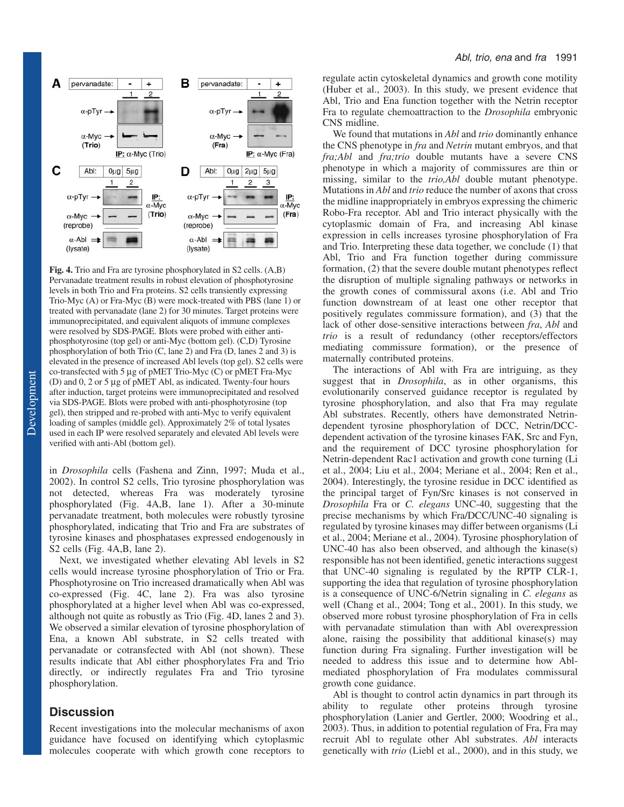

**Fig. 4.** Trio and Fra are tyrosine phosphorylated in S2 cells. (A,B) Pervanadate treatment results in robust elevation of phosphotyrosine levels in both Trio and Fra proteins. S2 cells transiently expressing Trio-Myc (A) or Fra-Myc (B) were mock-treated with PBS (lane 1) or treated with pervanadate (lane 2) for 30 minutes. Target proteins were immunoprecipitated, and equivalent aliquots of immune complexes were resolved by SDS-PAGE. Blots were probed with either antiphosphotyrosine (top gel) or anti-Myc (bottom gel). (C,D) Tyrosine phosphorylation of both Trio (C, lane 2) and Fra (D, lanes 2 and 3) is elevated in the presence of increased Abl levels (top gel). S2 cells were co-transfected with 5 µg of pMET Trio-Myc (C) or pMET Fra-Myc (D) and 0, 2 or 5 µg of pMET Abl, as indicated. Twenty-four hours after induction, target proteins were immunoprecipitated and resolved via SDS-PAGE. Blots were probed with anti-phosphotyrosine (top gel), then stripped and re-probed with anti-Myc to verify equivalent loading of samples (middle gel). Approximately 2% of total lysates used in each IP were resolved separately and elevated Abl levels were verified with anti-Abl (bottom gel).

in *Drosophila* cells (Fashena and Zinn, 1997; Muda et al., 2002). In control S2 cells, Trio tyrosine phosphorylation was not detected, whereas Fra was moderately tyrosine phosphorylated (Fig. 4A,B, lane 1). After a 30-minute pervanadate treatment, both molecules were robustly tyrosine phosphorylated, indicating that Trio and Fra are substrates of tyrosine kinases and phosphatases expressed endogenously in S2 cells (Fig. 4A,B, lane 2).

Next, we investigated whether elevating Abl levels in S2 cells would increase tyrosine phosphorylation of Trio or Fra. Phosphotyrosine on Trio increased dramatically when Abl was co-expressed (Fig. 4C, lane 2). Fra was also tyrosine phosphorylated at a higher level when Abl was co-expressed, although not quite as robustly as Trio (Fig. 4D, lanes 2 and 3). We observed a similar elevation of tyrosine phosphorylation of Ena, a known Abl substrate, in S2 cells treated with pervanadate or cotransfected with Abl (not shown). These results indicate that Abl either phosphorylates Fra and Trio directly, or indirectly regulates Fra and Trio tyrosine phosphorylation.

# **Discussion**

Recent investigations into the molecular mechanisms of axon guidance have focused on identifying which cytoplasmic molecules cooperate with which growth cone receptors to

regulate actin cytoskeletal dynamics and growth cone motility (Huber et al., 2003). In this study, we present evidence that Abl, Trio and Ena function together with the Netrin receptor Fra to regulate chemoattraction to the *Drosophila* embryonic CNS midline.

We found that mutations in *Abl* and *trio* dominantly enhance the CNS phenotype in *fra* and *Netrin* mutant embryos, and that *fra;Abl* and *fra;trio* double mutants have a severe CNS phenotype in which a majority of commissures are thin or missing, similar to the *trio,Abl* double mutant phenotype. Mutations in *Abl* and *trio* reduce the number of axons that cross the midline inappropriately in embryos expressing the chimeric Robo-Fra receptor. Abl and Trio interact physically with the cytoplasmic domain of Fra, and increasing Abl kinase expression in cells increases tyrosine phosphorylation of Fra and Trio. Interpreting these data together, we conclude (1) that Abl, Trio and Fra function together during commissure formation, (2) that the severe double mutant phenotypes reflect the disruption of multiple signaling pathways or networks in the growth cones of commissural axons (i.e. Abl and Trio function downstream of at least one other receptor that positively regulates commissure formation), and (3) that the lack of other dose-sensitive interactions between *fra*, *Abl* and *trio* is a result of redundancy (other receptors/effectors mediating commissure formation), or the presence of maternally contributed proteins.

The interactions of Abl with Fra are intriguing, as they suggest that in *Drosophila*, as in other organisms, this evolutionarily conserved guidance receptor is regulated by tyrosine phosphorylation, and also that Fra may regulate Abl substrates. Recently, others have demonstrated Netrindependent tyrosine phosphorylation of DCC, Netrin/DCCdependent activation of the tyrosine kinases FAK, Src and Fyn, and the requirement of DCC tyrosine phosphorylation for Netrin-dependent Rac1 activation and growth cone turning (Li et al., 2004; Liu et al., 2004; Meriane et al., 2004; Ren et al., 2004). Interestingly, the tyrosine residue in DCC identified as the principal target of Fyn/Src kinases is not conserved in *Drosophila* Fra or *C. elegans* UNC-40, suggesting that the precise mechanisms by which Fra/DCC/UNC-40 signaling is regulated by tyrosine kinases may differ between organisms (Li et al., 2004; Meriane et al., 2004). Tyrosine phosphorylation of UNC-40 has also been observed, and although the kinase(s) responsible has not been identified, genetic interactions suggest that UNC-40 signaling is regulated by the RPTP CLR-1, supporting the idea that regulation of tyrosine phosphorylation is a consequence of UNC-6/Netrin signaling in *C. elegans* as well (Chang et al., 2004; Tong et al., 2001). In this study, we observed more robust tyrosine phosphorylation of Fra in cells with pervanadate stimulation than with Abl overexpression alone, raising the possibility that additional kinase(s) may function during Fra signaling. Further investigation will be needed to address this issue and to determine how Ablmediated phosphorylation of Fra modulates commissural growth cone guidance.

Abl is thought to control actin dynamics in part through its ability to regulate other proteins through tyrosine phosphorylation (Lanier and Gertler, 2000; Woodring et al., 2003). Thus, in addition to potential regulation of Fra, Fra may recruit Abl to regulate other Abl substrates. *Abl* interacts genetically with *trio* (Liebl et al., 2000), and in this study, we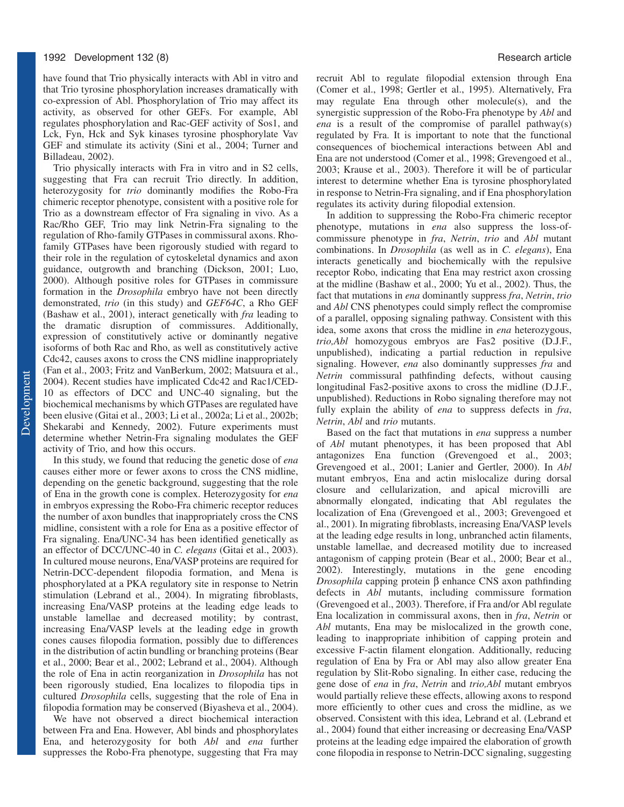have found that Trio physically interacts with Abl in vitro and that Trio tyrosine phosphorylation increases dramatically with co-expression of Abl. Phosphorylation of Trio may affect its activity, as observed for other GEFs. For example, Abl regulates phosphorylation and Rac-GEF activity of Sos1, and Lck, Fyn, Hck and Syk kinases tyrosine phosphorylate Vav GEF and stimulate its activity (Sini et al., 2004; Turner and Billadeau, 2002).

Trio physically interacts with Fra in vitro and in S2 cells, suggesting that Fra can recruit Trio directly. In addition, heterozygosity for *trio* dominantly modifies the Robo-Fra chimeric receptor phenotype, consistent with a positive role for Trio as a downstream effector of Fra signaling in vivo. As a Rac/Rho GEF, Trio may link Netrin-Fra signaling to the regulation of Rho-family GTPases in commissural axons. Rhofamily GTPases have been rigorously studied with regard to their role in the regulation of cytoskeletal dynamics and axon guidance, outgrowth and branching (Dickson, 2001; Luo, 2000). Although positive roles for GTPases in commissure formation in the *Drosophila* embryo have not been directly demonstrated, *trio* (in this study) and *GEF64C*, a Rho GEF (Bashaw et al., 2001), interact genetically with *fra* leading to the dramatic disruption of commissures. Additionally, expression of constitutively active or dominantly negative isoforms of both Rac and Rho, as well as constitutively active Cdc42, causes axons to cross the CNS midline inappropriately (Fan et al., 2003; Fritz and VanBerkum, 2002; Matsuura et al., 2004). Recent studies have implicated Cdc42 and Rac1/CED-10 as effectors of DCC and UNC-40 signaling, but the biochemical mechanisms by which GTPases are regulated have been elusive (Gitai et al., 2003; Li et al., 2002a; Li et al., 2002b; Shekarabi and Kennedy, 2002). Future experiments must determine whether Netrin-Fra signaling modulates the GEF activity of Trio, and how this occurs.

In this study, we found that reducing the genetic dose of *ena* causes either more or fewer axons to cross the CNS midline, depending on the genetic background, suggesting that the role of Ena in the growth cone is complex. Heterozygosity for *ena* in embryos expressing the Robo-Fra chimeric receptor reduces the number of axon bundles that inappropriately cross the CNS midline, consistent with a role for Ena as a positive effector of Fra signaling. Ena/UNC-34 has been identified genetically as an effector of DCC/UNC-40 in *C. elegans* (Gitai et al., 2003). In cultured mouse neurons, Ena/VASP proteins are required for Netrin-DCC-dependent filopodia formation, and Mena is phosphorylated at a PKA regulatory site in response to Netrin stimulation (Lebrand et al., 2004). In migrating fibroblasts, increasing Ena/VASP proteins at the leading edge leads to unstable lamellae and decreased motility; by contrast, increasing Ena/VASP levels at the leading edge in growth cones causes filopodia formation, possibly due to differences in the distribution of actin bundling or branching proteins (Bear et al., 2000; Bear et al., 2002; Lebrand et al., 2004). Although the role of Ena in actin reorganization in *Drosophila* has not been rigorously studied, Ena localizes to filopodia tips in cultured *Drosophila* cells, suggesting that the role of Ena in filopodia formation may be conserved (Biyasheva et al., 2004).

We have not observed a direct biochemical interaction between Fra and Ena. However, Abl binds and phosphorylates Ena, and heterozygosity for both *Abl* and *ena* further suppresses the Robo-Fra phenotype, suggesting that Fra may

recruit Abl to regulate filopodial extension through Ena (Comer et al., 1998; Gertler et al., 1995). Alternatively, Fra may regulate Ena through other molecule(s), and the synergistic suppression of the Robo-Fra phenotype by *Abl* and *ena* is a result of the compromise of parallel pathway(s) regulated by Fra. It is important to note that the functional consequences of biochemical interactions between Abl and Ena are not understood (Comer et al., 1998; Grevengoed et al., 2003; Krause et al., 2003). Therefore it will be of particular interest to determine whether Ena is tyrosine phosphorylated in response to Netrin-Fra signaling, and if Ena phosphorylation regulates its activity during filopodial extension.

In addition to suppressing the Robo-Fra chimeric receptor phenotype, mutations in *ena* also suppress the loss-ofcommissure phenotype in *fra*, *Netrin*, *trio* and *Abl* mutant combinations. In *Drosophila* (as well as in *C. elegans*), Ena interacts genetically and biochemically with the repulsive receptor Robo, indicating that Ena may restrict axon crossing at the midline (Bashaw et al., 2000; Yu et al., 2002). Thus, the fact that mutations in *ena* dominantly suppress *fra*, *Netrin*, *trio* and *Abl* CNS phenotypes could simply reflect the compromise of a parallel, opposing signaling pathway. Consistent with this idea, some axons that cross the midline in *ena* heterozygous, *trio,Abl* homozygous embryos are Fas2 positive (D.J.F., unpublished), indicating a partial reduction in repulsive signaling. However, *ena* also dominantly suppresses *fra* and *Netrin* commissural pathfinding defects, without causing longitudinal Fas2-positive axons to cross the midline (D.J.F., unpublished). Reductions in Robo signaling therefore may not fully explain the ability of *ena* to suppress defects in *fra*, *Netrin*, *Abl* and *trio* mutants.

Based on the fact that mutations in *ena* suppress a number of *Abl* mutant phenotypes, it has been proposed that Abl antagonizes Ena function (Grevengoed et al., 2003; Grevengoed et al., 2001; Lanier and Gertler, 2000). In *Abl* mutant embryos, Ena and actin mislocalize during dorsal closure and cellularization, and apical microvilli are abnormally elongated, indicating that Abl regulates the localization of Ena (Grevengoed et al., 2003; Grevengoed et al., 2001). In migrating fibroblasts, increasing Ena/VASP levels at the leading edge results in long, unbranched actin filaments, unstable lamellae, and decreased motility due to increased antagonism of capping protein (Bear et al., 2000; Bear et al., 2002). Interestingly, mutations in the gene encoding *Drosophila* capping protein β enhance CNS axon pathfinding defects in *Abl* mutants, including commissure formation (Grevengoed et al., 2003). Therefore, if Fra and/or Abl regulate Ena localization in commissural axons, then in *fra*, *Netrin* or *Abl* mutants, Ena may be mislocalized in the growth cone, leading to inappropriate inhibition of capping protein and excessive F-actin filament elongation. Additionally, reducing regulation of Ena by Fra or Abl may also allow greater Ena regulation by Slit-Robo signaling. In either case, reducing the gene dose of *ena* in *fra*, *Netrin* and *trio,Abl* mutant embryos would partially relieve these effects, allowing axons to respond more efficiently to other cues and cross the midline, as we observed. Consistent with this idea, Lebrand et al. (Lebrand et al., 2004) found that either increasing or decreasing Ena/VASP proteins at the leading edge impaired the elaboration of growth cone filopodia in response to Netrin-DCC signaling, suggesting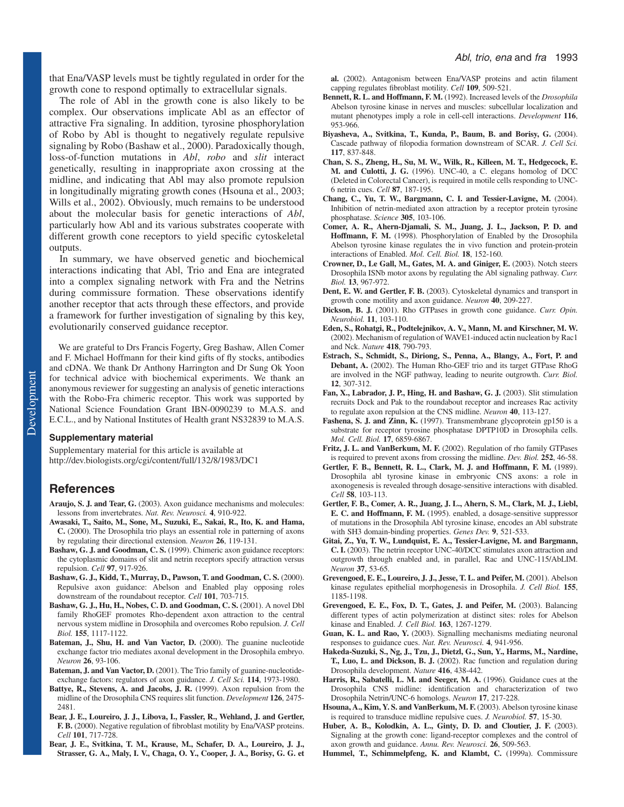that Ena/VASP levels must be tightly regulated in order for the growth cone to respond optimally to extracellular signals.

The role of Abl in the growth cone is also likely to be complex. Our observations implicate Abl as an effector of attractive Fra signaling. In addition, tyrosine phosphorylation of Robo by Abl is thought to negatively regulate repulsive signaling by Robo (Bashaw et al., 2000). Paradoxically though, loss-of-function mutations in *Abl*, *robo* and *slit* interact genetically, resulting in inappropriate axon crossing at the midline, and indicating that Abl may also promote repulsion in longitudinally migrating growth cones (Hsouna et al., 2003; Wills et al., 2002). Obviously, much remains to be understood about the molecular basis for genetic interactions of *Abl*, particularly how Abl and its various substrates cooperate with different growth cone receptors to yield specific cytoskeletal outputs.

In summary, we have observed genetic and biochemical interactions indicating that Abl, Trio and Ena are integrated into a complex signaling network with Fra and the Netrins during commissure formation. These observations identify another receptor that acts through these effectors, and provide a framework for further investigation of signaling by this key, evolutionarily conserved guidance receptor.

We are grateful to Drs Francis Fogerty, Greg Bashaw, Allen Comer and F. Michael Hoffmann for their kind gifts of fly stocks, antibodies and cDNA. We thank Dr Anthony Harrington and Dr Sung Ok Yoon for technical advice with biochemical experiments. We thank an anonymous reviewer for suggesting an analysis of genetic interactions with the Robo-Fra chimeric receptor. This work was supported by National Science Foundation Grant IBN-0090239 to M.A.S. and E.C.L., and by National Institutes of Health grant NS32839 to M.A.S.

#### **Supplementary material**

Supplementary material for this article is available at http://dev.biologists.org/cgi/content/full/132/8/1983/DC1

## **References**

- **Araujo, S. J. and Tear, G.** (2003). Axon guidance mechanisms and molecules: lessons from invertebrates. *Nat. Rev. Neurosci.* **4**, 910-922.
- **Awasaki, T., Saito, M., Sone, M., Suzuki, E., Sakai, R., Ito, K. and Hama, C.** (2000). The Drosophila trio plays an essential role in patterning of axons by regulating their directional extension. *Neuron* **26**, 119-131.
- **Bashaw, G. J. and Goodman, C. S.** (1999). Chimeric axon guidance receptors: the cytoplasmic domains of slit and netrin receptors specify attraction versus repulsion. *Cell* **97**, 917-926.
- **Bashaw, G. J., Kidd, T., Murray, D., Pawson, T. and Goodman, C. S.** (2000). Repulsive axon guidance: Abelson and Enabled play opposing roles downstream of the roundabout receptor. *Cell* **101**, 703-715.
- Bashaw, G. J., Hu, H., Nobes, C. D. and Goodman, C. S. (2001). A novel Dbl family RhoGEF promotes Rho-dependent axon attraction to the central nervous system midline in Drosophila and overcomes Robo repulsion. *J. Cell Biol.* **155**, 1117-1122.
- **Bateman, J., Shu, H. and Van Vactor, D.** (2000). The guanine nucleotide exchange factor trio mediates axonal development in the Drosophila embryo. *Neuron* **26**, 93-106.
- Bateman, J. and Van Vactor, D. (2001). The Trio family of guanine-nucleotideexchange factors: regulators of axon guidance. *J. Cell Sci.* **114**, 1973-1980.
- Battye, R., Stevens, A. and Jacobs, J. R. (1999). Axon repulsion from the midline of the Drosophila CNS requires slit function. *Development* **126**, 2475- 2481.
- **Bear, J. E., Loureiro, J. J., Libova, I., Fassler, R., Wehland, J. and Gertler, F. B.** (2000). Negative regulation of fibroblast motility by Ena/VASP proteins. *Cell* **101**, 717-728.
- **Bear, J. E., Svitkina, T. M., Krause, M., Schafer, D. A., Loureiro, J. J., Strasser, G. A., Maly, I. V., Chaga, O. Y., Cooper, J. A., Borisy, G. G. et**

**al.** (2002). Antagonism between Ena/VASP proteins and actin filament capping regulates fibroblast motility. *Cell* **109**, 509-521.

- **Bennett, R. L. and Hoffmann, F. M.** (1992). Increased levels of the *Drosophila* Abelson tyrosine kinase in nerves and muscles: subcellular localization and mutant phenotypes imply a role in cell-cell interactions. *Development* **116**, 953-966.
- **Biyasheva, A., Svitkina, T., Kunda, P., Baum, B. and Borisy, G.** (2004). Cascade pathway of filopodia formation downstream of SCAR. *J. Cell Sci.* **117**, 837-848.
- **Chan, S. S., Zheng, H., Su, M. W., Wilk, R., Killeen, M. T., Hedgecock, E. M. and Culotti, J. G.** (1996). UNC-40, a C. elegans homolog of DCC (Deleted in Colorectal Cancer), is required in motile cells responding to UNC-6 netrin cues. *Cell* **87**, 187-195.
- **Chang, C., Yu, T. W., Bargmann, C. I. and Tessier-Lavigne, M.** (2004). Inhibition of netrin-mediated axon attraction by a receptor protein tyrosine phosphatase. *Science* **305**, 103-106.
- **Comer, A. R., Ahern-Djamali, S. M., Juang, J. L., Jackson, P. D. and Hoffmann, F. M.** (1998). Phosphorylation of Enabled by the Drosophila Abelson tyrosine kinase regulates the in vivo function and protein-protein interactions of Enabled. *Mol. Cell. Biol.* **18**, 152-160.
- **Crowner, D., Le Gall, M., Gates, M. A. and Giniger, E.** (2003). Notch steers Drosophila ISNb motor axons by regulating the Abl signaling pathway. *Curr. Biol.* **13**, 967-972.
- **Dent, E. W. and Gertler, F. B.** (2003). Cytoskeletal dynamics and transport in growth cone motility and axon guidance. *Neuron* **40**, 209-227.
- **Dickson, B. J.** (2001). Rho GTPases in growth cone guidance. *Curr. Opin. Neurobiol.* **11**, 103-110.
- **Eden, S., Rohatgi, R., Podtelejnikov, A. V., Mann, M. and Kirschner, M. W.** (2002). Mechanism of regulation of WAVE1-induced actin nucleation by Rac1 and Nck. *Nature* **418**, 790-793.
- **Estrach, S., Schmidt, S., Diriong, S., Penna, A., Blangy, A., Fort, P. and Debant, A.** (2002). The Human Rho-GEF trio and its target GTPase RhoG are involved in the NGF pathway, leading to neurite outgrowth. *Curr. Biol.* **12**, 307-312.
- Fan, X., Labrador, J. P., Hing, H. and Bashaw, G. J. (2003). Slit stimulation recruits Dock and Pak to the roundabout receptor and increases Rac activity to regulate axon repulsion at the CNS midline. *Neuron* **40**, 113-127.
- Fashena, S. J. and Zinn, K. (1997). Transmembrane glycoprotein gp150 is a substrate for receptor tyrosine phosphatase DPTP10D in Drosophila cells. *Mol. Cell. Biol.* **17**, 6859-6867.
- Fritz, J. L. and VanBerkum, M. F. (2002). Regulation of rho family GTPases is required to prevent axons from crossing the midline. *Dev. Biol.* **252**, 46-58.
- **Gertler, F. B., Bennett, R. L., Clark, M. J. and Hoffmann, F. M.** (1989). Drosophila abl tyrosine kinase in embryonic CNS axons: a role in axonogenesis is revealed through dosage-sensitive interactions with disabled. *Cell* **58**, 103-113.
- **Gertler, F. B., Comer, A. R., Juang, J. L., Ahern, S. M., Clark, M. J., Liebl, E. C. and Hoffmann, F. M.** (1995). enabled, a dosage-sensitive suppressor of mutations in the Drosophila Abl tyrosine kinase, encodes an Abl substrate with SH3 domain-binding properties. *Genes Dev.* **9**, 521-533.
- **Gitai, Z., Yu, T. W., Lundquist, E. A., Tessier-Lavigne, M. and Bargmann, C. I.** (2003). The netrin receptor UNC-40/DCC stimulates axon attraction and outgrowth through enabled and, in parallel, Rac and UNC-115/AbLIM. *Neuron* **37**, 53-65.
- Grevengoed, E. E., Loureiro, J. J., Jesse, T. L. and Peifer, M. (2001). Abelson kinase regulates epithelial morphogenesis in Drosophila. *J. Cell Biol.* **155**, 1185-1198.
- **Grevengoed, E. E., Fox, D. T., Gates, J. and Peifer, M.** (2003). Balancing different types of actin polymerization at distinct sites: roles for Abelson kinase and Enabled. *J. Cell Biol.* **163**, 1267-1279.
- **Guan, K. L. and Rao, Y.** (2003). Signalling mechanisms mediating neuronal responses to guidance cues. *Nat. Rev. Neurosci.* **4**, 941-956.
- **Hakeda-Suzuki, S., Ng, J., Tzu, J., Dietzl, G., Sun, Y., Harms, M., Nardine, T., Luo, L. and Dickson, B. J.** (2002). Rac function and regulation during Drosophila development. *Nature* **416**, 438-442.
- Harris, R., Sabatelli, L. M. and Seeger, M. A. (1996). Guidance cues at the Drosophila CNS midline: identification and characterization of two Drosophila Netrin/UNC-6 homologs. *Neuron* **17**, 217-228.
- Hsouna, A., Kim, Y. S. and VanBerkum, M. F. (2003). Abelson tyrosine kinase is required to transduce midline repulsive cues. *J. Neurobiol.* **57**, 15-30.
- **Huber, A. B., Kolodkin, A. L., Ginty, D. D. and Cloutier, J. F.** (2003). Signaling at the growth cone: ligand-receptor complexes and the control of axon growth and guidance. *Annu. Rev. Neurosci.* **26**, 509-563.
- **Hummel, T., Schimmelpfeng, K. and Klambt, C.** (1999a). Commissure